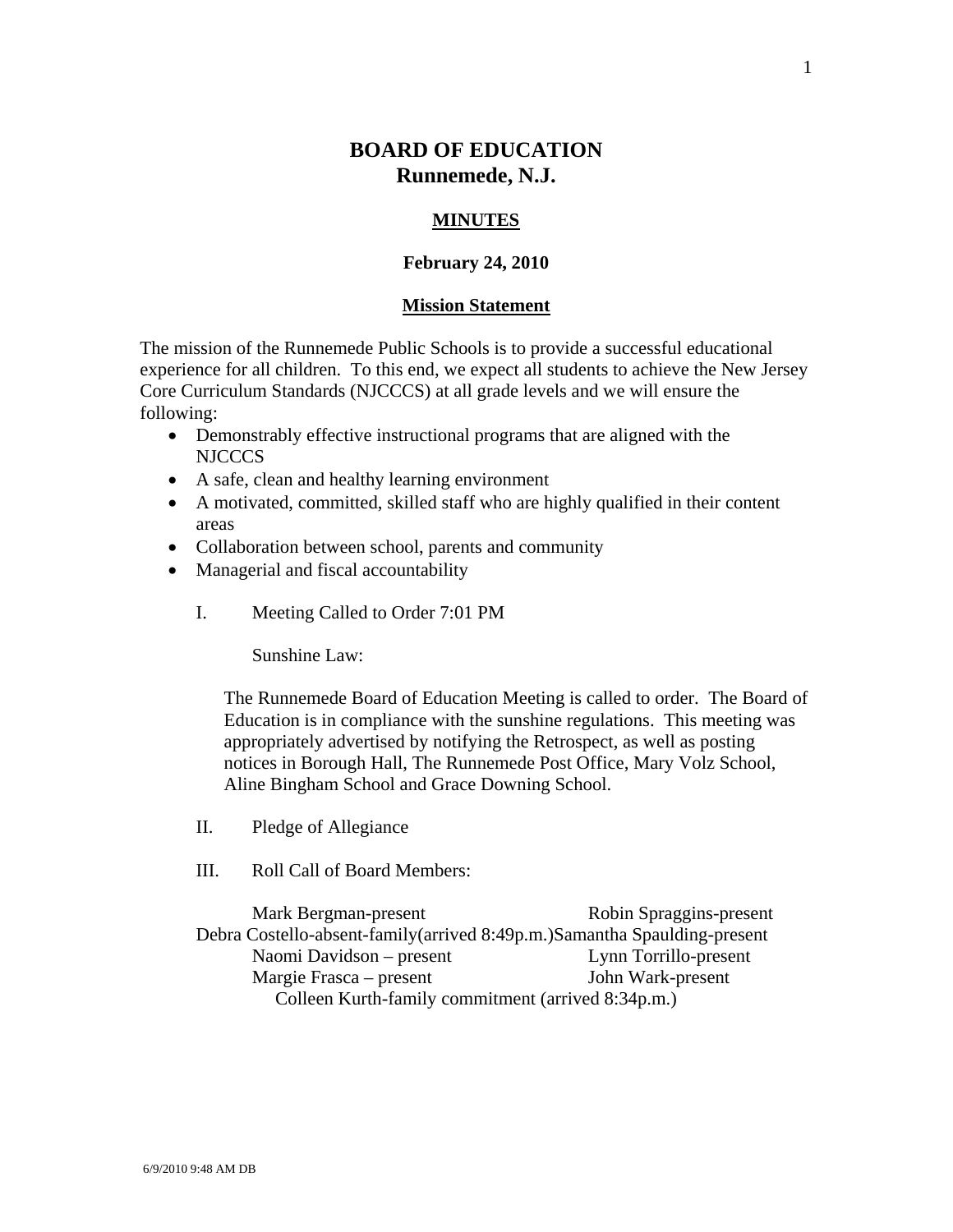# **BOARD OF EDUCATION Runnemede, N.J.**

### **MINUTES**

#### **February 24, 2010**

#### **Mission Statement**

The mission of the Runnemede Public Schools is to provide a successful educational experience for all children. To this end, we expect all students to achieve the New Jersey Core Curriculum Standards (NJCCCS) at all grade levels and we will ensure the following:

- Demonstrably effective instructional programs that are aligned with the NJCCCS
- A safe, clean and healthy learning environment
- A motivated, committed, skilled staff who are highly qualified in their content areas
- Collaboration between school, parents and community
- Managerial and fiscal accountability
	- I. Meeting Called to Order 7:01 PM

Sunshine Law:

The Runnemede Board of Education Meeting is called to order. The Board of Education is in compliance with the sunshine regulations. This meeting was appropriately advertised by notifying the Retrospect, as well as posting notices in Borough Hall, The Runnemede Post Office, Mary Volz School, Aline Bingham School and Grace Downing School.

- II. Pledge of Allegiance
- III. Roll Call of Board Members:

Mark Bergman-present Robin Spraggins-present Debra Costello-absent-family(arrived 8:49p.m.)Samantha Spaulding-present Naomi Davidson – present Lynn Torrillo-present Margie Frasca – present John Wark-present Colleen Kurth-family commitment (arrived 8:34p.m.)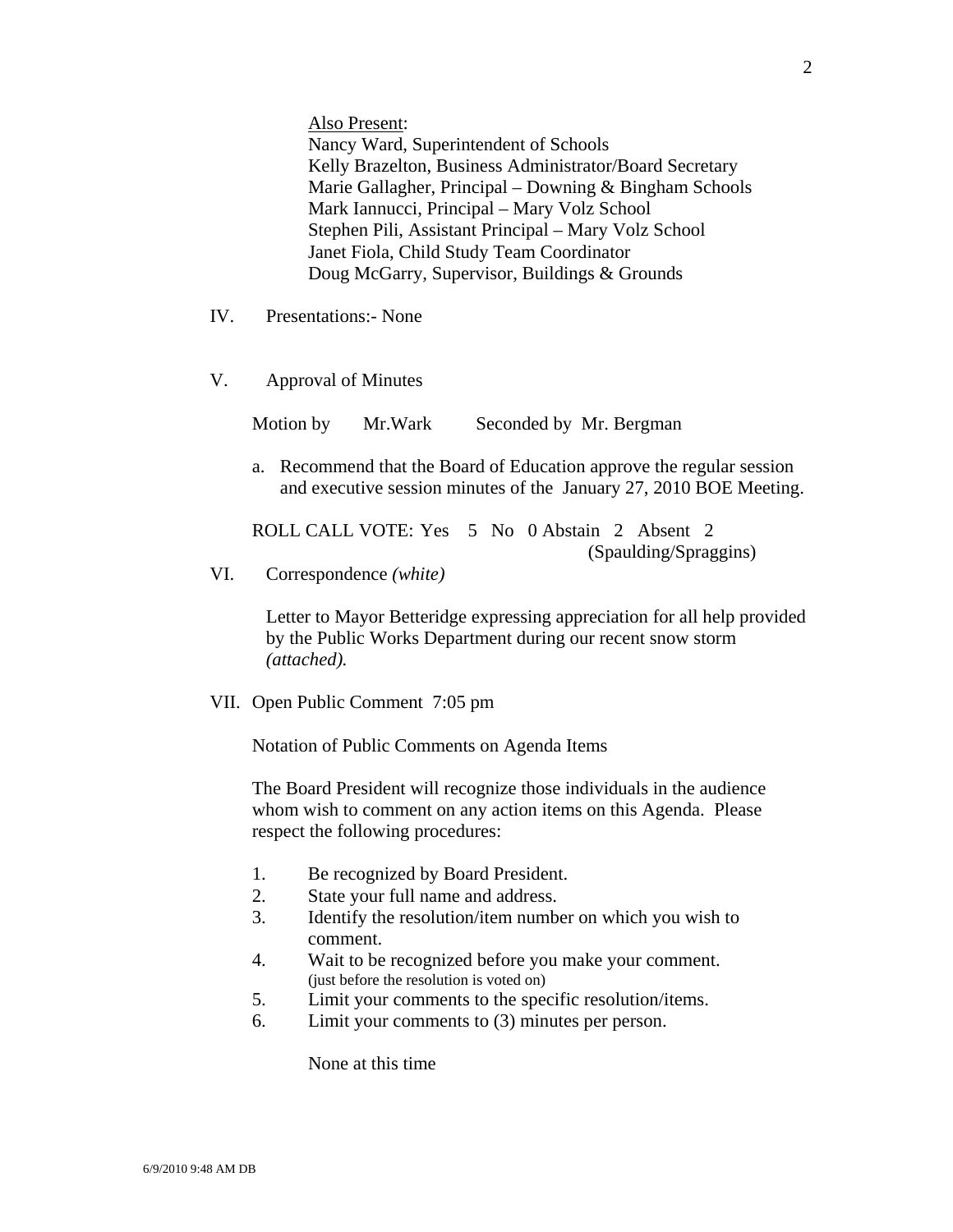Also Present:

Nancy Ward, Superintendent of Schools Kelly Brazelton, Business Administrator/Board Secretary Marie Gallagher, Principal – Downing & Bingham Schools Mark Iannucci, Principal – Mary Volz School Stephen Pili, Assistant Principal – Mary Volz School Janet Fiola, Child Study Team Coordinator Doug McGarry, Supervisor, Buildings & Grounds

- IV. Presentations:- None
- V. Approval of Minutes

Motion by Mr. Wark Seconded by Mr. Bergman

a. Recommend that the Board of Education approve the regular session and executive session minutes of the January 27, 2010 BOE Meeting.

ROLL CALL VOTE: Yes 5 No 0 Abstain 2 Absent 2 (Spaulding/Spraggins)

VI. Correspondence *(white)* 

Letter to Mayor Betteridge expressing appreciation for all help provided by the Public Works Department during our recent snow storm *(attached).* 

VII. Open Public Comment 7:05 pm

Notation of Public Comments on Agenda Items

The Board President will recognize those individuals in the audience whom wish to comment on any action items on this Agenda. Please respect the following procedures:

- 1. Be recognized by Board President.
- 2. State your full name and address.
- 3. Identify the resolution/item number on which you wish to comment.
- 4. Wait to be recognized before you make your comment. (just before the resolution is voted on)
- 5. Limit your comments to the specific resolution/items.
- 6. Limit your comments to (3) minutes per person.

None at this time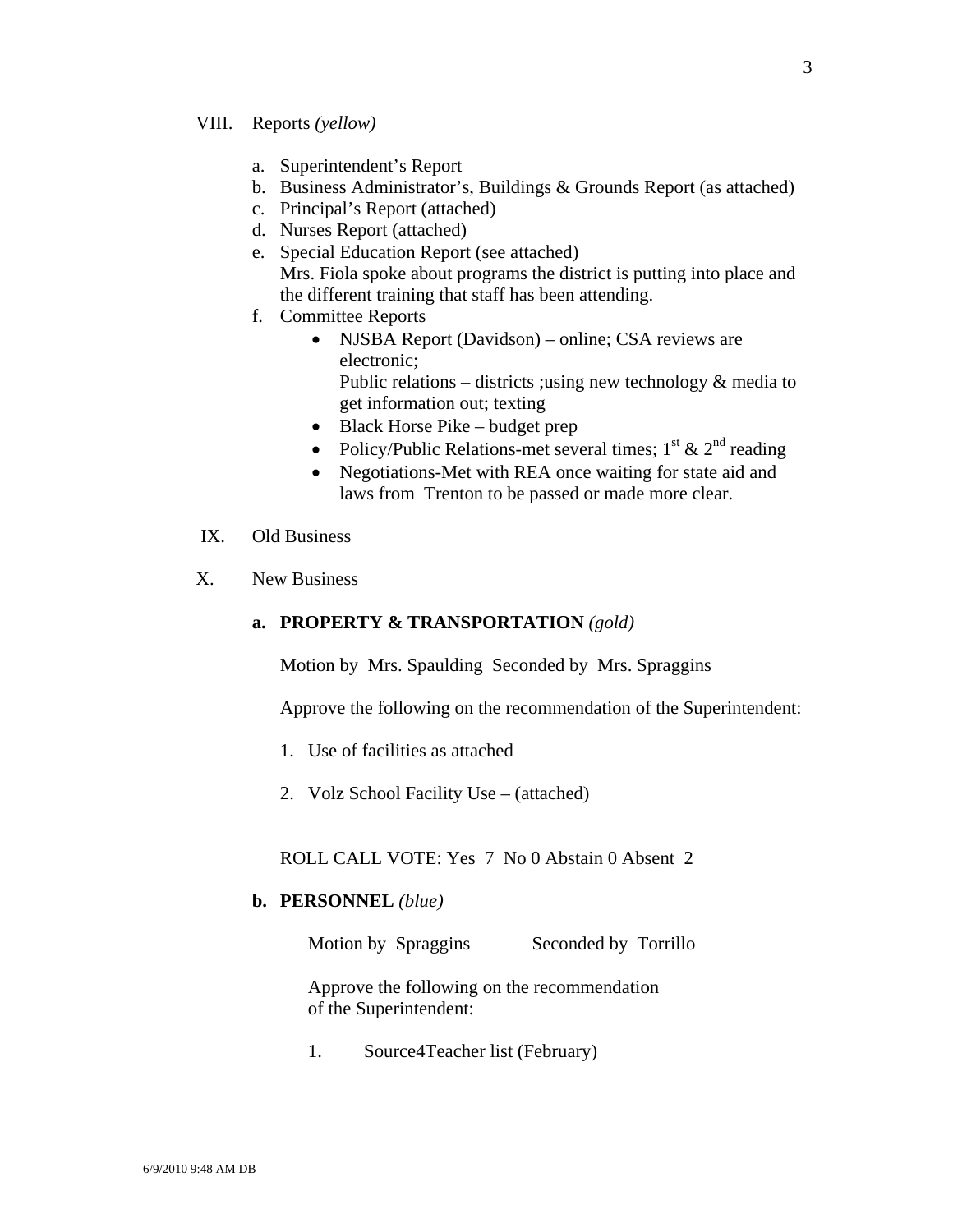#### VIII. Reports *(yellow)*

- a. Superintendent's Report
- b. Business Administrator's, Buildings & Grounds Report (as attached)
- c. Principal's Report (attached)
- d. Nurses Report (attached)
- e. Special Education Report (see attached) Mrs. Fiola spoke about programs the district is putting into place and the different training that staff has been attending.
- f. Committee Reports
	- NJSBA Report (Davidson) online; CSA reviews are electronic; Public relations – districts ; using new technology  $\&$  media to get information out; texting
	- Black Horse Pike budget prep
	- Policy/Public Relations-met several times;  $1^{st}$  &  $2^{nd}$  reading
	- Negotiations-Met with REA once waiting for state aid and laws from Trenton to be passed or made more clear.
- IX. Old Business
- X. New Business

### **a. PROPERTY & TRANSPORTATION** *(gold)*

Motion by Mrs. Spaulding Seconded by Mrs. Spraggins

Approve the following on the recommendation of the Superintendent:

- 1. Use of facilities as attached
- 2. Volz School Facility Use (attached)

ROLL CALL VOTE: Yes 7 No 0 Abstain 0 Absent 2

#### **b. PERSONNEL** *(blue)*

Motion by Spraggins Seconded by Torrillo

 Approve the following on the recommendation of the Superintendent:

1. Source4Teacher list (February)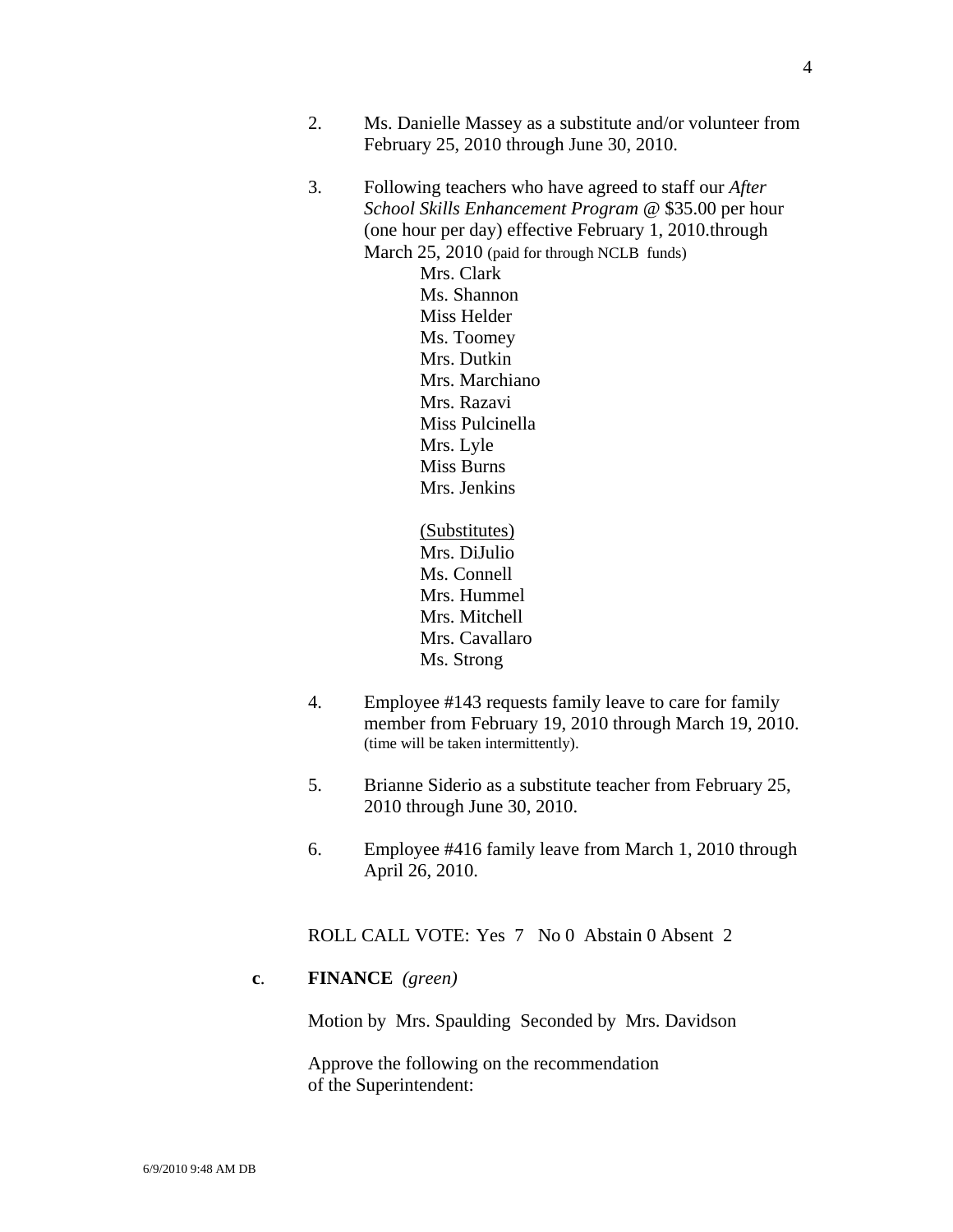- 2. Ms. Danielle Massey as a substitute and/or volunteer from February 25, 2010 through June 30, 2010.
- 3. Following teachers who have agreed to staff our *After School Skills Enhancement Program* @ \$35.00 per hour (one hour per day) effective February 1, 2010.through March 25, 2010 (paid for through NCLB funds) Mrs. Clark

 Ms. Shannon Miss Helder Ms. Toomey Mrs. Dutkin Mrs. Marchiano Mrs. Razavi Miss Pulcinella Mrs. Lyle Miss Burns Mrs. Jenkins

 (Substitutes) Mrs. DiJulio Ms. Connell Mrs. Hummel Mrs. Mitchell Mrs. Cavallaro Ms. Strong

- 4. Employee #143 requests family leave to care for family member from February 19, 2010 through March 19, 2010. (time will be taken intermittently).
- 5. Brianne Siderio as a substitute teacher from February 25, 2010 through June 30, 2010.
- 6. Employee #416 family leave from March 1, 2010 through April 26, 2010.

ROLL CALL VOTE: Yes 7 No 0 Abstain 0 Absent 2

### **c**. **FINANCE** *(green)*

Motion by Mrs. Spaulding Seconded by Mrs. Davidson

Approve the following on the recommendation of the Superintendent: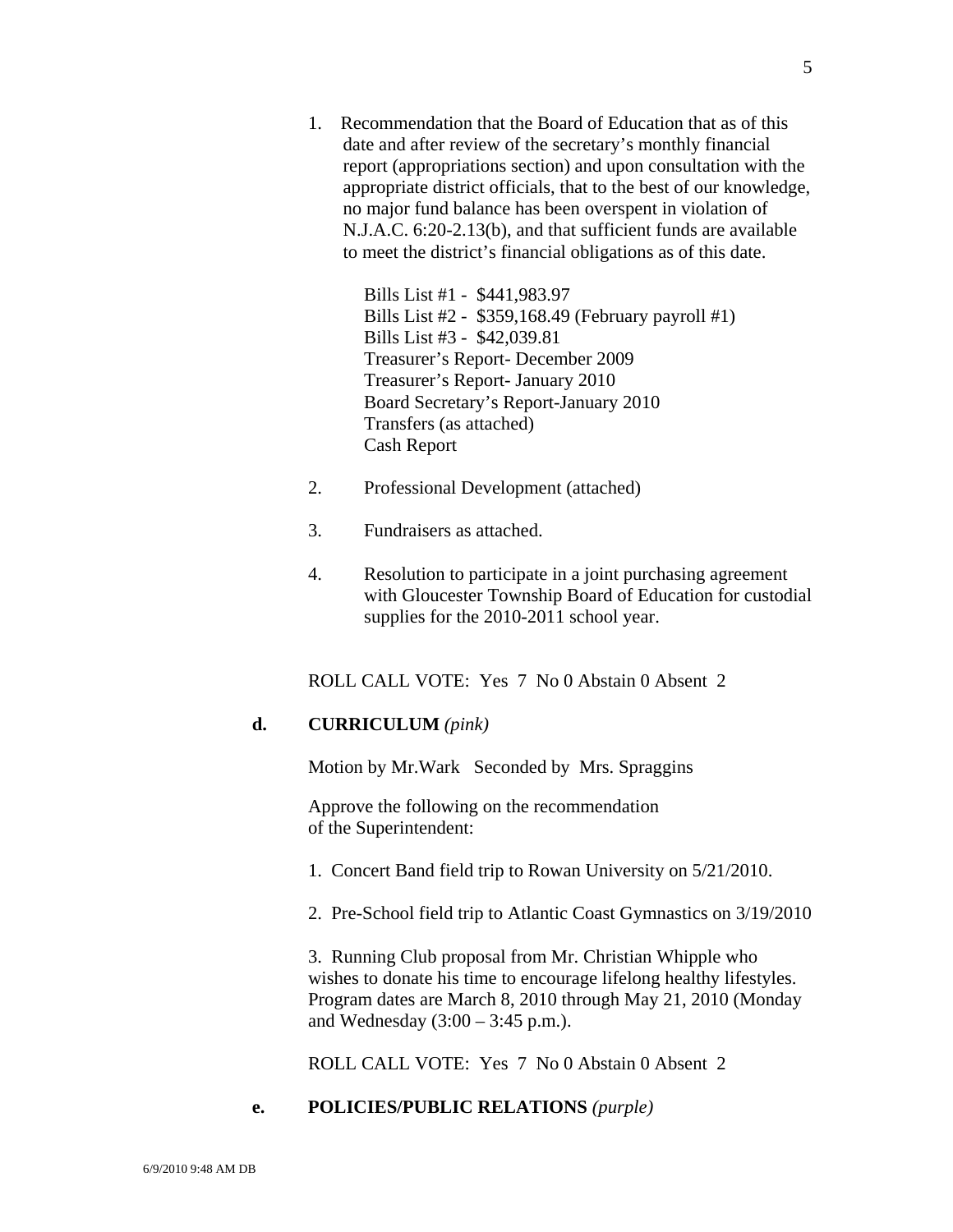1. Recommendation that the Board of Education that as of this date and after review of the secretary's monthly financial report (appropriations section) and upon consultation with the appropriate district officials, that to the best of our knowledge, no major fund balance has been overspent in violation of N.J.A.C. 6:20-2.13(b), and that sufficient funds are available to meet the district's financial obligations as of this date.

> Bills List #1 - \$441,983.97 Bills List #2 - \$359,168.49 (February payroll #1) Bills List #3 - \$42,039.81 Treasurer's Report- December 2009 Treasurer's Report- January 2010 Board Secretary's Report-January 2010 Transfers (as attached) Cash Report

- 2. Professional Development (attached)
- 3. Fundraisers as attached.
- 4. Resolution to participate in a joint purchasing agreement with Gloucester Township Board of Education for custodial supplies for the 2010-2011 school year.

ROLL CALL VOTE: Yes 7 No 0 Abstain 0 Absent 2

## **d. CURRICULUM** *(pink)*

Motion by Mr.Wark Seconded by Mrs. Spraggins

Approve the following on the recommendation of the Superintendent:

- 1. Concert Band field trip to Rowan University on 5/21/2010.
- 2. Pre-School field trip to Atlantic Coast Gymnastics on 3/19/2010

3. Running Club proposal from Mr. Christian Whipple who wishes to donate his time to encourage lifelong healthy lifestyles. Program dates are March 8, 2010 through May 21, 2010 (Monday and Wednesday (3:00 – 3:45 p.m.).

ROLL CALL VOTE: Yes 7 No 0 Abstain 0 Absent 2

## **e. POLICIES/PUBLIC RELATIONS** *(purple)*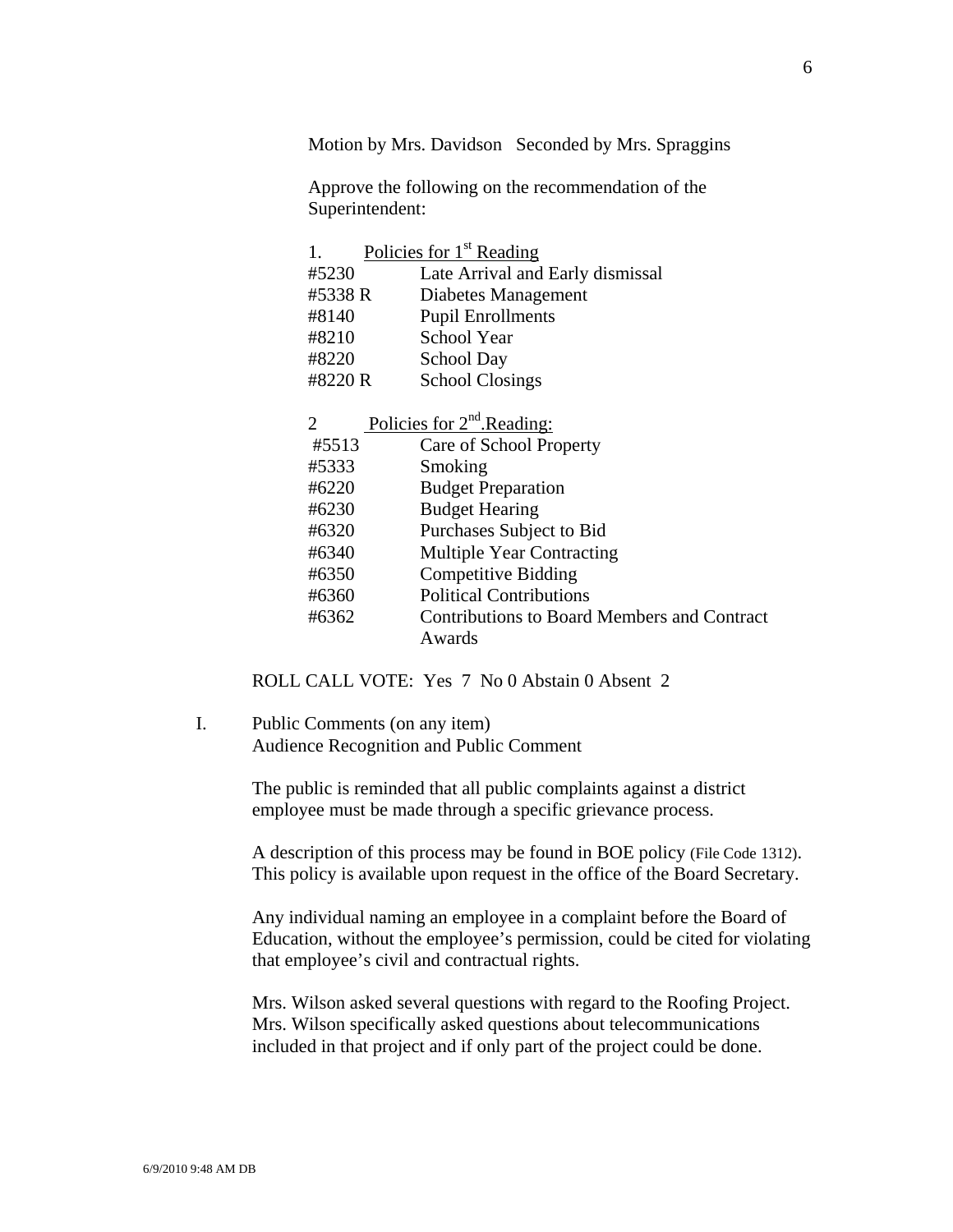Motion by Mrs. Davidson Seconded by Mrs. Spraggins

Approve the following on the recommendation of the Superintendent:

| 1.                          | Policies for 1 <sup>st</sup> Reading        |
|-----------------------------|---------------------------------------------|
| #5230                       | Late Arrival and Early dismissal            |
| #5338 R                     | Diabetes Management                         |
| #8140                       | <b>Pupil Enrollments</b>                    |
| #8210                       | School Year                                 |
| #8220                       | School Day                                  |
| #8220 R                     | <b>School Closings</b>                      |
|                             |                                             |
| $\mathcal{D}_{\mathcal{L}}$ | Policies for $2nd$ . Reading:               |
| #5513                       | Care of School Property                     |
| #5333                       | Smoking                                     |
| #6220                       | <b>Budget Preparation</b>                   |
| #6230                       | <b>Budget Hearing</b>                       |
| #6320                       | Purchases Subject to Bid                    |
| #6340                       | <b>Multiple Year Contracting</b>            |
| #6350                       | <b>Competitive Bidding</b>                  |
| #6360                       | <b>Political Contributions</b>              |
| #6362                       | Contributions to Board Members and Contract |
|                             | Awards                                      |

ROLL CALL VOTE: Yes 7 No 0 Abstain 0 Absent 2

I. Public Comments (on any item) Audience Recognition and Public Comment

> The public is reminded that all public complaints against a district employee must be made through a specific grievance process.

A description of this process may be found in BOE policy (File Code 1312). This policy is available upon request in the office of the Board Secretary.

Any individual naming an employee in a complaint before the Board of Education, without the employee's permission, could be cited for violating that employee's civil and contractual rights.

Mrs. Wilson asked several questions with regard to the Roofing Project. Mrs. Wilson specifically asked questions about telecommunications included in that project and if only part of the project could be done.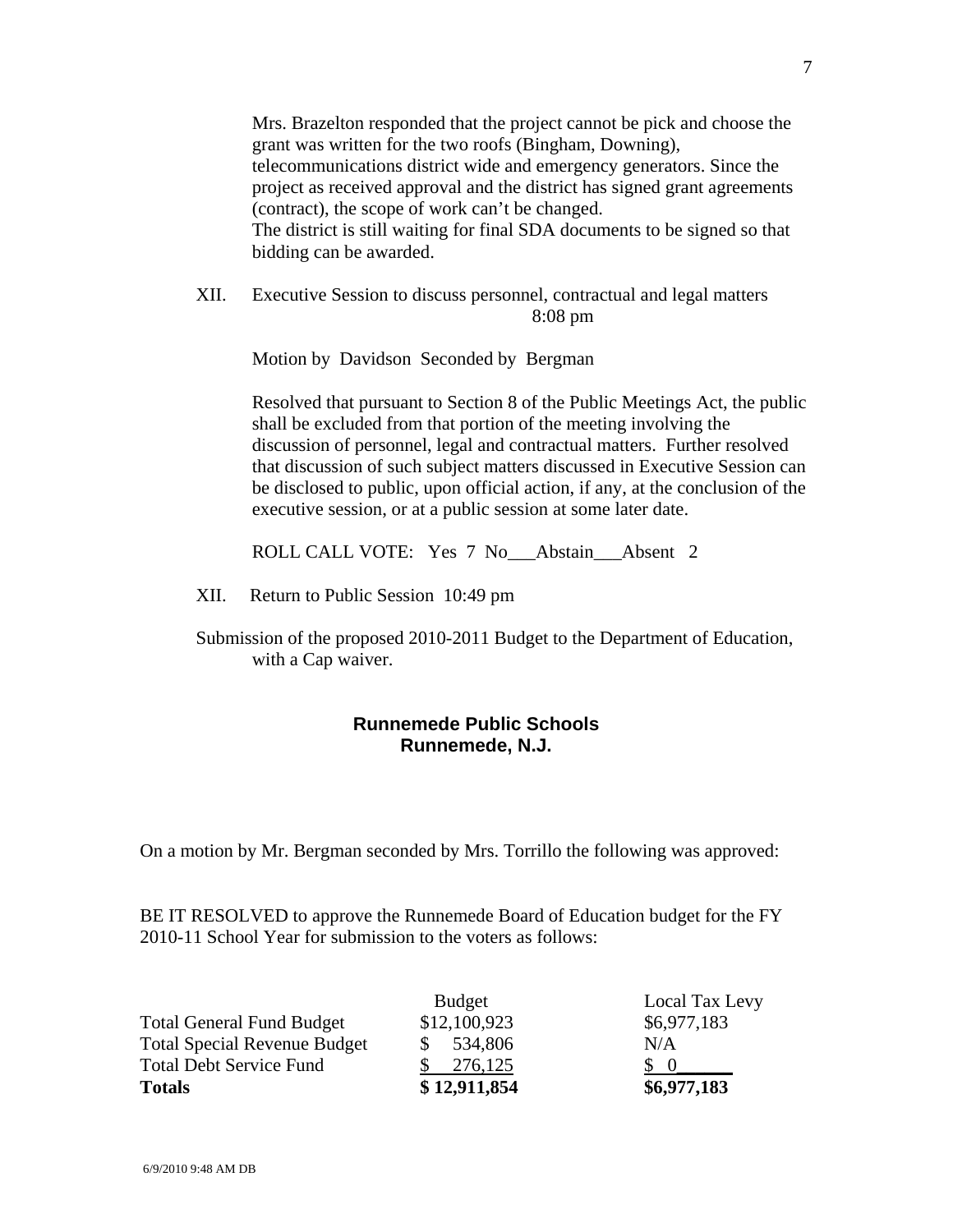Mrs. Brazelton responded that the project cannot be pick and choose the grant was written for the two roofs (Bingham, Downing), telecommunications district wide and emergency generators. Since the project as received approval and the district has signed grant agreements (contract), the scope of work can't be changed. The district is still waiting for final SDA documents to be signed so that bidding can be awarded.

XII. Executive Session to discuss personnel, contractual and legal matters 8:08 pm

Motion by Davidson Seconded by Bergman

Resolved that pursuant to Section 8 of the Public Meetings Act, the public shall be excluded from that portion of the meeting involving the discussion of personnel, legal and contractual matters. Further resolved that discussion of such subject matters discussed in Executive Session can be disclosed to public, upon official action, if any, at the conclusion of the executive session, or at a public session at some later date.

ROLL CALL VOTE: Yes 7 No\_\_\_Abstain\_\_\_Absent 2

XII. Return to Public Session 10:49 pm

Submission of the proposed 2010-2011 Budget to the Department of Education, with a Cap waiver.

## **Runnemede Public Schools Runnemede, N.J.**

On a motion by Mr. Bergman seconded by Mrs. Torrillo the following was approved:

BE IT RESOLVED to approve the Runnemede Board of Education budget for the FY 2010-11 School Year for submission to the voters as follows:

|                                     | <b>Budget</b> | Local Tax Levy |
|-------------------------------------|---------------|----------------|
| <b>Total General Fund Budget</b>    | \$12,100,923  | \$6,977,183    |
| <b>Total Special Revenue Budget</b> | 534,806       | N/A            |
| <b>Total Debt Service Fund</b>      | 276,125       | $\Omega$       |
| <b>Totals</b>                       | \$12,911,854  | \$6,977,183    |